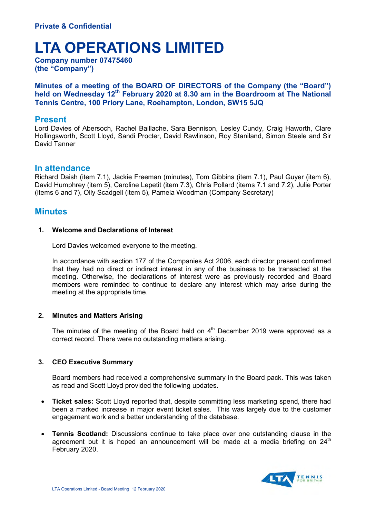# **LTA OPERATIONS LIMITED**

**Company number 07475460 (the "Company")**

**Minutes of a meeting of the BOARD OF DIRECTORS of the Company (the "Board") held on Wednesday 12th February 2020 at 8.30 am in the Boardroom at The National Tennis Centre, 100 Priory Lane, Roehampton, London, SW15 5JQ** 

# **Present**

Lord Davies of Abersoch, Rachel Baillache, Sara Bennison, Lesley Cundy, Craig Haworth, Clare Hollingsworth, Scott Lloyd, Sandi Procter, David Rawlinson, Roy Staniland, Simon Steele and Sir David Tanner

# **In attendance**

Richard Daish (item 7.1), Jackie Freeman (minutes), Tom Gibbins (item 7.1), Paul Guyer (item 6), David Humphrey (item 5), Caroline Lepetit (item 7.3), Chris Pollard (items 7.1 and 7.2), Julie Porter (items 6 and 7), Olly Scadgell (item 5), Pamela Woodman (Company Secretary)

# **Minutes**

# **1. Welcome and Declarations of Interest**

Lord Davies welcomed everyone to the meeting.

In accordance with section 177 of the Companies Act 2006, each director present confirmed that they had no direct or indirect interest in any of the business to be transacted at the meeting. Otherwise, the declarations of interest were as previously recorded and Board members were reminded to continue to declare any interest which may arise during the meeting at the appropriate time.

# **2. Minutes and Matters Arising**

The minutes of the meeting of the Board held on  $4<sup>th</sup>$  December 2019 were approved as a correct record. There were no outstanding matters arising.

# **3. CEO Executive Summary**

Board members had received a comprehensive summary in the Board pack. This was taken as read and Scott Lloyd provided the following updates.

- **Ticket sales:** Scott Lloyd reported that, despite committing less marketing spend, there had been a marked increase in major event ticket sales. This was largely due to the customer engagement work and a better understanding of the database.
- **Tennis Scotland:** Discussions continue to take place over one outstanding clause in the agreement but it is hoped an announcement will be made at a media briefing on  $24<sup>th</sup>$ February 2020.

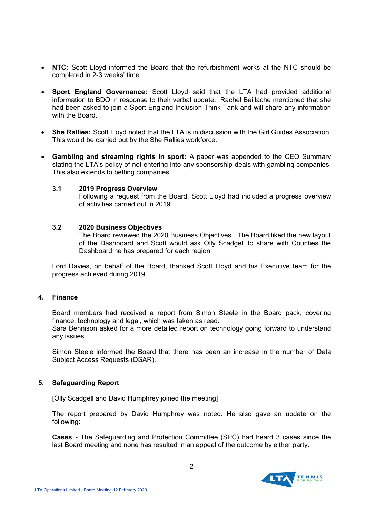- **NTC:** Scott Lloyd informed the Board that the refurbishment works at the NTC should be completed in 2-3 weeks' time.
- **Sport England Governance:** Scott Lloyd said that the LTA had provided additional information to BDO in response to their verbal update. Rachel Baillache mentioned that she had been asked to join a Sport England Inclusion Think Tank and will share any information with the Board.
- **She Rallies:** Scott Lloyd noted that the LTA is in discussion with the Girl Guides Association.. This would be carried out by the She Rallies workforce.
- **Gambling and streaming rights in sport:** A paper was appended to the CEO Summary stating the LTA's policy of not entering into any sponsorship deals with gambling companies. This also extends to betting companies.

## **3.1 2019 Progress Overview**

Following a request from the Board, Scott Lloyd had included a progress overview of activities carried out in 2019.

## **3.2 2020 Business Objectives**

The Board reviewed the 2020 Business Objectives. The Board liked the new layout of the Dashboard and Scott would ask Olly Scadgell to share with Counties the Dashboard he has prepared for each region.

Lord Davies, on behalf of the Board, thanked Scott Lloyd and his Executive team for the progress achieved during 2019.

## **4. Finance**

Board members had received a report from Simon Steele in the Board pack, covering finance, technology and legal, which was taken as read.

Sara Bennison asked for a more detailed report on technology going forward to understand any issues.

Simon Steele informed the Board that there has been an increase in the number of Data Subject Access Requests (DSAR).

## **5. Safeguarding Report**

[Olly Scadgell and David Humphrey joined the meeting]

The report prepared by David Humphrey was noted. He also gave an update on the following:

**Cases -** The Safeguarding and Protection Committee (SPC) had heard 3 cases since the last Board meeting and none has resulted in an appeal of the outcome by either party.

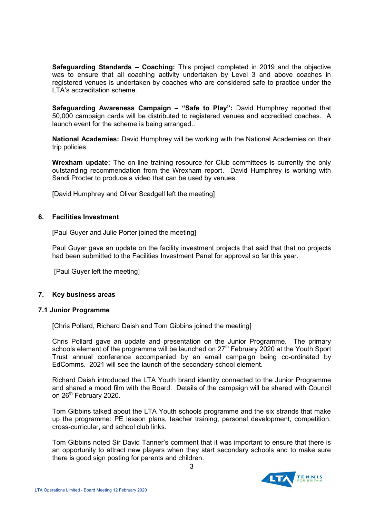**Safeguarding Standards – Coaching:** This project completed in 2019 and the objective was to ensure that all coaching activity undertaken by Level 3 and above coaches in registered venues is undertaken by coaches who are considered safe to practice under the LTA's accreditation scheme.

**Safeguarding Awareness Campaign – "Safe to Play":** David Humphrey reported that 50,000 campaign cards will be distributed to registered venues and accredited coaches. A launch event for the scheme is being arranged..

**National Academies:** David Humphrey will be working with the National Academies on their trip policies.

**Wrexham update:** The on-line training resource for Club committees is currently the only outstanding recommendation from the Wrexham report. David Humphrey is working with Sandi Procter to produce a video that can be used by venues.

[David Humphrey and Oliver Scadgell left the meeting]

# **6. Facilities Investment**

[Paul Guyer and Julie Porter joined the meeting]

Paul Guyer gave an update on the facility investment projects that said that that no projects had been submitted to the Facilities Investment Panel for approval so far this year.

[Paul Guyer left the meeting]

## **7. Key business areas**

## **7.1 Junior Programme**

[Chris Pollard, Richard Daish and Tom Gibbins joined the meeting]

 Chris Pollard gave an update and presentation on the Junior Programme. The primary schools element of the programme will be launched on  $27<sup>th</sup>$  February 2020 at the Youth Sport Trust annual conference accompanied by an email campaign being co-ordinated by EdComms. 2021 will see the launch of the secondary school element.

 Richard Daish introduced the LTA Youth brand identity connected to the Junior Programme and shared a mood film with the Board. Details of the campaign will be shared with Council on 26<sup>th</sup> February 2020.

Tom Gibbins talked about the LTA Youth schools programme and the six strands that make up the programme: PE lesson plans, teacher training, personal development, competition, cross-curricular, and school club links.

Tom Gibbins noted Sir David Tanner's comment that it was important to ensure that there is an opportunity to attract new players when they start secondary schools and to make sure there is good sign posting for parents and children.

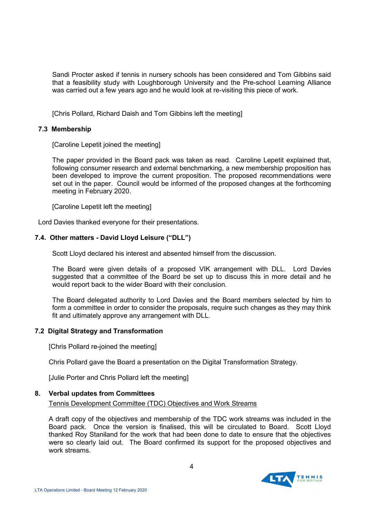Sandi Procter asked if tennis in nursery schools has been considered and Tom Gibbins said that a feasibility study with Loughborough University and the Pre-school Learning Alliance was carried out a few years ago and he would look at re-visiting this piece of work.

[Chris Pollard, Richard Daish and Tom Gibbins left the meeting]

## **7.3 Membership**

[Caroline Lepetit joined the meeting]

 The paper provided in the Board pack was taken as read. Caroline Lepetit explained that, following consumer research and external benchmarking, a new membership proposition has been developed to improve the current proposition. The proposed recommendations were set out in the paper. Council would be informed of the proposed changes at the forthcoming meeting in February 2020.

[Caroline Lepetit left the meeting]

Lord Davies thanked everyone for their presentations.

# **7.4. Other matters - David Lloyd Leisure ("DLL")**

Scott Lloyd declared his interest and absented himself from the discussion.

The Board were given details of a proposed VIK arrangement with DLL. Lord Davies suggested that a committee of the Board be set up to discuss this in more detail and he would report back to the wider Board with their conclusion.

The Board delegated authority to Lord Davies and the Board members selected by him to form a committee in order to consider the proposals, require such changes as they may think fit and ultimately approve any arrangement with DLL.

## **7.2 Digital Strategy and Transformation**

[Chris Pollard re-joined the meeting]

Chris Pollard gave the Board a presentation on the Digital Transformation Strategy.

[Julie Porter and Chris Pollard left the meeting]

## **8. Verbal updates from Committees**

## Tennis Development Committee (TDC) Objectives and Work Streams

A draft copy of the objectives and membership of the TDC work streams was included in the Board pack. Once the version is finalised, this will be circulated to Board. Scott Lloyd thanked Roy Staniland for the work that had been done to date to ensure that the objectives were so clearly laid out. The Board confirmed its support for the proposed objectives and work streams

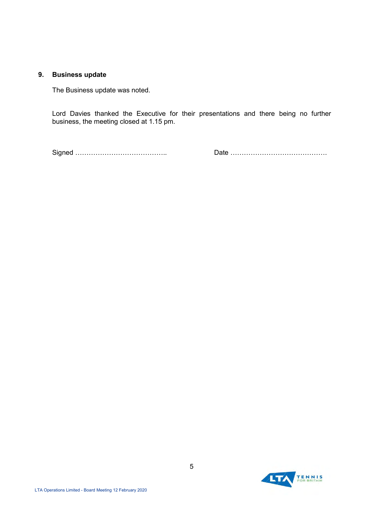## **9. Business update**

The Business update was noted.

Lord Davies thanked the Executive for their presentations and there being no further business, the meeting closed at 1.15 pm.

Signed ………………………………….. Date …………………………………….

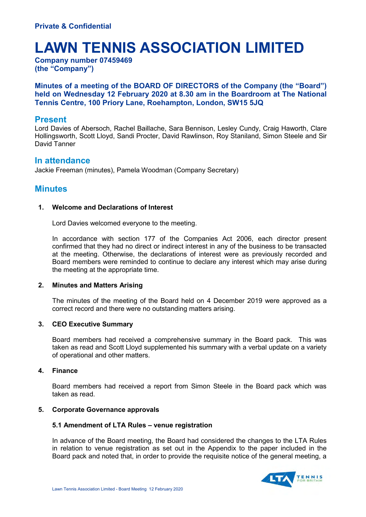# **LAWN TENNIS ASSOCIATION LIMITED**

**Company number 07459469 (the "Company")**

# **Minutes of a meeting of the BOARD OF DIRECTORS of the Company (the "Board") held on Wednesday 12 February 2020 at 8.30 am in the Boardroom at The National Tennis Centre, 100 Priory Lane, Roehampton, London, SW15 5JQ**

# **Present**

Lord Davies of Abersoch, Rachel Baillache, Sara Bennison, Lesley Cundy, Craig Haworth, Clare Hollingsworth, Scott Lloyd, Sandi Procter, David Rawlinson, Roy Staniland, Simon Steele and Sir David Tanner

# **In attendance**

Jackie Freeman (minutes), Pamela Woodman (Company Secretary)

# **Minutes**

# **1. Welcome and Declarations of Interest**

Lord Davies welcomed everyone to the meeting.

In accordance with section 177 of the Companies Act 2006, each director present confirmed that they had no direct or indirect interest in any of the business to be transacted at the meeting. Otherwise, the declarations of interest were as previously recorded and Board members were reminded to continue to declare any interest which may arise during the meeting at the appropriate time.

# **2. Minutes and Matters Arising**

The minutes of the meeting of the Board held on 4 December 2019 were approved as a correct record and there were no outstanding matters arising.

# **3. CEO Executive Summary**

Board members had received a comprehensive summary in the Board pack. This was taken as read and Scott Lloyd supplemented his summary with a verbal update on a variety of operational and other matters.

# **4. Finance**

Board members had received a report from Simon Steele in the Board pack which was taken as read.

# **5. Corporate Governance approvals**

# **5.1 Amendment of LTA Rules – venue registration**

In advance of the Board meeting, the Board had considered the changes to the LTA Rules in relation to venue registration as set out in the Appendix to the paper included in the Board pack and noted that, in order to provide the requisite notice of the general meeting, a

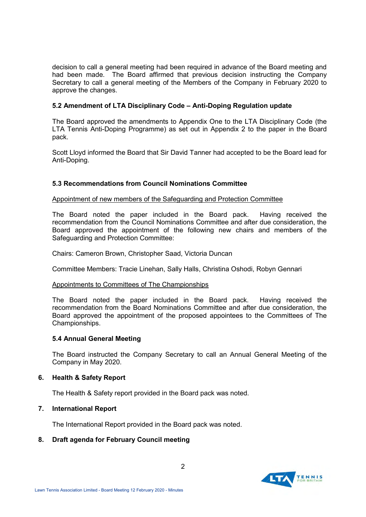decision to call a general meeting had been required in advance of the Board meeting and had been made. The Board affirmed that previous decision instructing the Company Secretary to call a general meeting of the Members of the Company in February 2020 to approve the changes.

# **5.2 Amendment of LTA Disciplinary Code – Anti-Doping Regulation update**

The Board approved the amendments to Appendix One to the LTA Disciplinary Code (the LTA Tennis Anti-Doping Programme) as set out in Appendix 2 to the paper in the Board pack.

Scott Lloyd informed the Board that Sir David Tanner had accepted to be the Board lead for Anti-Doping.

## **5.3 Recommendations from Council Nominations Committee**

## Appointment of new members of the Safeguarding and Protection Committee

The Board noted the paper included in the Board pack. Having received the recommendation from the Council Nominations Committee and after due consideration, the Board approved the appointment of the following new chairs and members of the Safeguarding and Protection Committee:

Chairs: Cameron Brown, Christopher Saad, Victoria Duncan

Committee Members: Tracie Linehan, Sally Halls, Christina Oshodi, Robyn Gennari

## Appointments to Committees of The Championships

The Board noted the paper included in the Board pack. Having received the recommendation from the Board Nominations Committee and after due consideration, the Board approved the appointment of the proposed appointees to the Committees of The Championships.

# **5.4 Annual General Meeting**

The Board instructed the Company Secretary to call an Annual General Meeting of the Company in May 2020.

## **6. Health & Safety Report**

The Health & Safety report provided in the Board pack was noted.

# **7. International Report**

The International Report provided in the Board pack was noted.

# **8. Draft agenda for February Council meeting**